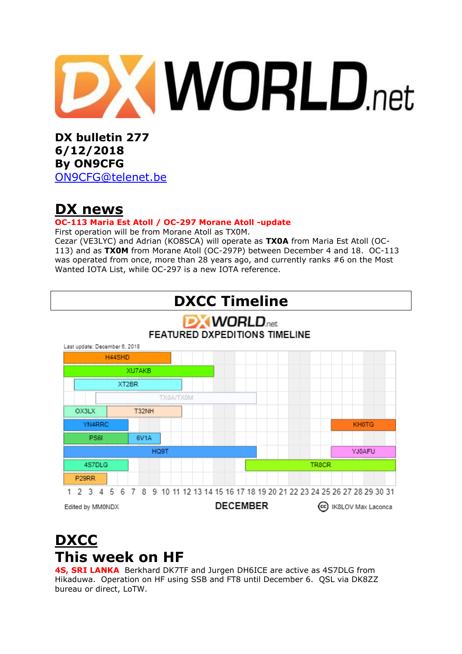

**DX bulletin 277 6/12/2018 By ON9CFG**  [ON9CFG@telenet.be](mailto:ON9CFG@telenet.be)

# **DX news**

### **OC-113 Maria Est Atoll / OC-297 Morane Atoll -update**

First operation will be from Morane Atoll as TX0M.

Cezar (VE3LYC) and Adrian (KO8SCA) will operate as **TX0A** from Maria Est Atoll (OC-113) and as **TX0M** from Morane Atoll (OC-297P) between December 4 and 18. OC-113 was operated from once, more than 28 years ago, and currently ranks #6 on the Most Wanted IOTA List, while OC-297 is a new IOTA reference.



# **DXCC This week on HF**

**4S, SRI LANKA** Berkhard DK7TF and Jurgen DH6ICE are active as 4S7DLG from Hikaduwa. Operation on HF using SSB and FT8 until December 6. QSL via DK8ZZ bureau or direct, LoTW.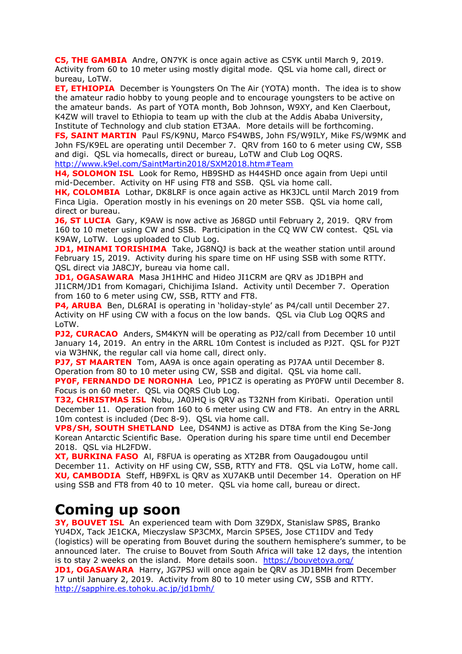**C5, THE GAMBIA** Andre, ON7YK is once again active as C5YK until March 9, 2019. Activity from 60 to 10 meter using mostly digital mode. QSL via home call, direct or bureau, LoTW.

**ET, ETHIOPIA** December is Youngsters On The Air [\(YOTA\)](https://www.ham-yota.com/december-yota-month-application-is-open/) month. The idea is to show the amateur radio hobby to young people and to encourage youngsters to be active on the amateur bands. As part of YOTA month, Bob Johnson, W9XY, and Ken Claerbout, K4ZW will travel to Ethiopia to team up with the club at the Addis Ababa University, Institute of Technology and club station ET3AA. More details will be forthcoming.

**FS, SAINT MARTIN** Paul FS/K9NU, Marco FS4WBS, John FS/W9ILY, Mike FS/W9MK and John FS/K9EL are operating until December 7. QRV from 160 to 6 meter using CW, SSB and digi. QSL via homecalls, direct or bureau, LoTW and Club Log OQRS. <http://www.k9el.com/SaintMartin2018/SXM2018.htm#Team>

**H4, SOLOMON ISL** Look for Remo, HB9SHD as H44SHD once again from Uepi until mid-December. Activity on HF using FT8 and SSB. QSL via home call.

**HK, COLOMBIA** Lothar, DK8LRF is once again active as HK3JCL until March 2019 from Finca Ligia. Operation mostly in his evenings on 20 meter SSB. QSL via home call, direct or bureau.

**J6, ST LUCIA** Gary, K9AW is now active as J68GD until February 2, 2019. QRV from 160 to 10 meter using CW and SSB. Participation in the CQ WW CW contest. QSL via K9AW, LoTW. Logs uploaded to Club Log.

**JD1, MINAMI TORISHIMA** Take, JG8NQJ is back at the weather station until around February 15, 2019. Activity during his spare time on HF using SSB with some RTTY. QSL direct via JA8CJY, bureau via home call.

**JD1, OGASAWARA** Masa JH1HHC and Hideo JI1CRM are QRV as JD1BPH and JI1CRM/JD1 from Komagari, Chichijima Island. Activity until December 7. Operation from 160 to 6 meter using CW, SSB, RTTY and FT8.

**P4, ARUBA** Ben, DL6RAI is operating in 'holiday-style' as P4/call until December 27. Activity on HF using CW with a focus on the low bands. QSL via Club Log OQRS and LoTW.

**PJ2, CURACAO** Anders, SM4KYN will be operating as PJ2/call from December 10 until January 14, 2019. An entry in the ARRL 10m Contest is included as PJ2T. QSL for PJ2T via W3HNK, the regular call via home call, direct only.

**PJ7, ST MAARTEN** Tom, AA9A is once again operating as PJ7AA until December 8. Operation from 80 to 10 meter using CW, SSB and digital. QSL via home call.

**PY0F, FERNANDO DE NORONHA** Leo, PP1CZ is operating as PY0FW until December 8. Focus is on 60 meter. QSL via OQRS Club Log.

**T32, CHRISTMAS ISL** Nobu, JA0JHQ is QRV as T32NH from Kiribati. Operation until December 11. Operation from 160 to 6 meter using CW and FT8. An entry in the ARRL 10m contest is included (Dec 8-9). QSL via home call.

**VP8/SH, SOUTH SHETLAND** Lee, DS4NMJ is active as DT8A from the King Se-Jong Korean Antarctic Scientific Base. Operation during his spare time until end December 2018. QSL via HL2FDW.

**XT, BURKINA FASO** Al, F8FUA is operating as XT2BR from Oaugadougou until December 11. Activity on HF using CW, SSB, RTTY and FT8. QSL via LoTW, home call. **XU, CAMBODIA** Steff, HB9FXL is QRV as XU7AKB until December 14. Operation on HF using SSB and FT8 from 40 to 10 meter. QSL via home call, bureau or direct.

## **Coming up soon**

**3Y, BOUVET ISL** An experienced team with Dom 3Z9DX, Stanislaw SP8S, Branko YU4DX, Tack JE1CKA, Mieczyslaw SP3CMX, Marcin SP5ES, Jose CT1IDV and Tedy (logistics) will be operating from Bouvet during the southern hemisphere's summer, to be announced later. The cruise to Bouvet from South Africa will take 12 days, the intention is to stay 2 weeks on the island. More details soon. <https://bouvetoya.org/> **JD1, OGASAWARA** Harry, JG7PSJ will once again be QRV as JD1BMH from December 17 until January 2, 2019. Activity from 80 to 10 meter using CW, SSB and RTTY. <http://sapphire.es.tohoku.ac.jp/jd1bmh/>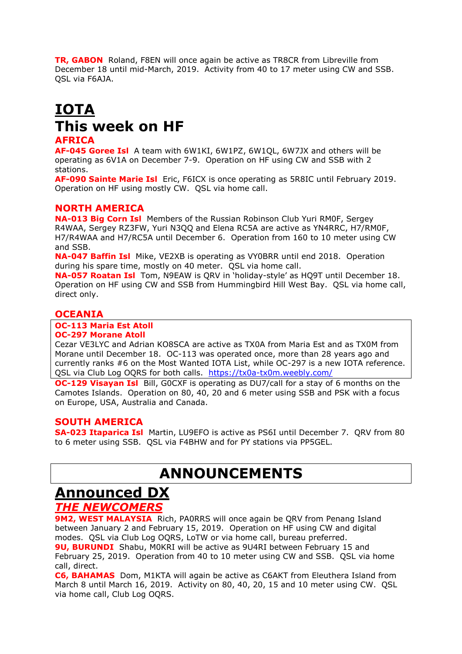**TR, GABON** Roland, F8EN will once again be active as TR8CR from Libreville from December 18 until mid-March, 2019. Activity from 40 to 17 meter using CW and SSB. QSL via F6AJA.

### **IOTA This week on HF AFRICA**

#### **AF-045 Goree Isl** A team with 6W1KI, 6W1PZ, 6W1QL, 6W7JX and others will be operating as 6V1A on December 7-9. Operation on HF using CW and SSB with 2 stations.

**AF-090 Sainte Marie Isl** Eric, F6ICX is once operating as 5R8IC until February 2019. Operation on HF using mostly CW. QSL via home call.

#### **NORTH AMERICA**

**NA-013 Big Corn Isl** Members of the Russian Robinson Club Yuri RM0F, Sergey R4WAA, Sergey RZ3FW, Yuri N3QQ and Elena RC5A are active as YN4RRC, H7/RM0F, H7/R4WAA and H7/RC5A until December 6. Operation from 160 to 10 meter using CW and SSB.

**NA-047 Baffin Isl** Mike, VE2XB is operating as VY0BRR until end 2018. Operation during his spare time, mostly on 40 meter. QSL via home call.

**NA-057 Roatan Isl** Tom, N9EAW is QRV in 'holiday-style' as HQ9T until December 18. Operation on HF using CW and SSB from Hummingbird Hill West Bay. QSL via home call, direct only.

#### **OCEANIA**

### **OC-113 Maria Est Atoll**

### **OC-297 Morane Atoll**

Cezar VE3LYC and Adrian KO8SCA are active as TX0A from Maria Est and as TX0M from Morane until December 18. OC-113 was operated once, more than 28 years ago and currently ranks #6 on the Most Wanted IOTA List, while OC-297 is a new IOTA reference. QSL via Club Log OQRS for both calls. <https://tx0a-tx0m.weebly.com/>

**OC-129 Visayan Isl** Bill, G0CXF is operating as DU7/call for a stay of 6 months on the Camotes Islands. Operation on 80, 40, 20 and 6 meter using SSB and PSK with a focus on Europe, USA, Australia and Canada.

#### **SOUTH AMERICA**

**SA-023 Itaparica Isl** Martin, LU9EFO is active as PS6I until December 7. QRV from 80 to 6 meter using SSB. QSL via F4BHW and for PY stations via PP5GEL.

## **ANNOUNCEMENTS**

### **Announced DX**

#### *THE NEWCOMERS*

**9M2, WEST MALAYSIA** Rich, PA0RRS will once again be QRV from Penang Island between January 2 and February 15, 2019. Operation on HF using CW and digital modes. QSL via Club Log OQRS, LoTW or via home call, bureau preferred. **9U, BURUNDI** Shabu, M0KRI will be active as 9U4RI between February 15 and February 25, 2019. Operation from 40 to 10 meter using CW and SSB. QSL via home call, direct.

**C6, BAHAMAS** Dom, M1KTA will again be active as C6AKT from Eleuthera Island from March 8 until March 16, 2019. Activity on 80, 40, 20, 15 and 10 meter using CW. QSL via home call, Club Log OQRS.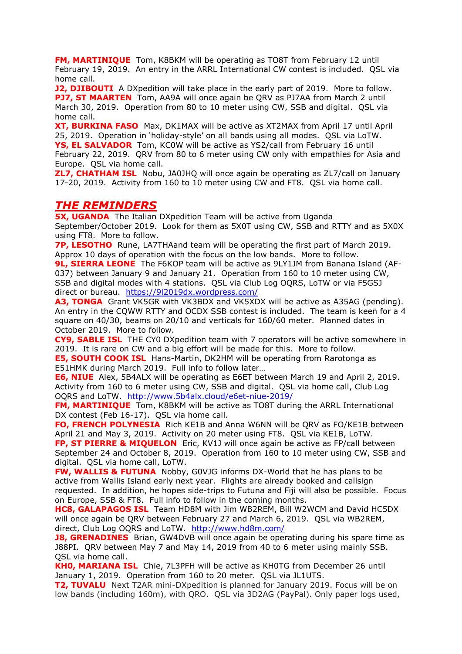**FM, MARTINIQUE** Tom, K8BKM will be operating as TO8T from February 12 until February 19, 2019. An entry in the ARRL International CW contest is included. QSL via home call.

**J2, DJIBOUTI** A DXpedition will take place in the early part of 2019. More to follow. **PJ7, ST MAARTEN** Tom, AA9A will once again be QRV as PJ7AA from March 2 until March 30, 2019. Operation from 80 to 10 meter using CW, SSB and digital. QSL via home call.

**XT, BURKINA FASO** Max, DK1MAX will be active as XT2MAX from April 17 until April 25, 2019. Operation in 'holiday-style' on all bands using all modes. QSL via LoTW. **YS, EL SALVADOR** Tom, KC0W will be active as YS2/call from February 16 until February 22, 2019. QRV from 80 to 6 meter using CW only with empathies for Asia and Europe. QSL via home call.

**ZL7, CHATHAM ISL** Nobu, JA0JHQ will once again be operating as ZL7/call on January 17-20, 2019. Activity from 160 to 10 meter using CW and FT8. QSL via home call.

#### *THE REMINDERS*

**5X, UGANDA** The Italian DXpedition Team will be active from Uganda September/October 2019. Look for them as 5X0T using CW, SSB and RTTY and as 5X0X using FT8. More to follow.

**7P, LESOTHO** Rune, LA7THAand team will be operating the first part of March 2019. Approx 10 days of operation with the focus on the low bands. More to follow.

**9L, SIERRA LEONE** The F6KOP team will be active as 9LY1JM from Banana Island (AF-037) between January 9 and January 21. Operation from 160 to 10 meter using CW, SSB and digital modes with 4 stations. QSL via Club Log OQRS, LoTW or via F5GSJ direct or bureau. <https://9l2019dx.wordpress.com/>

**A3, TONGA** Grant VK5GR with VK3BDX and VK5XDX will be active as A35AG (pending). An entry in the CQWW RTTY and OCDX SSB contest is included. The team is keen for a 4 square on 40/30, beams on 20/10 and verticals for 160/60 meter. Planned dates in October 2019. More to follow.

**CY9, SABLE ISL** THE CY0 DXpedition team with 7 operators will be active somewhere in 2019. It is rare on CW and a big effort will be made for this. More to follow.

**E5, SOUTH COOK ISL** Hans-Martin, DK2HM will be operating from Rarotonga as E51HMK during March 2019. Full info to follow later…

**E6, NIUE** Alex, 5B4ALX will be operating as E6ET between March 19 and April 2, 2019. Activity from 160 to 6 meter using CW, SSB and digital. QSL via home call, Club Log OQRS and LoTW. <http://www.5b4alx.cloud/e6et-niue-2019/>

**FM, MARTINIQUE** Tom, K8BKM will be active as TO8T during the ARRL International DX contest (Feb 16-17). QSL via home call.

**FO, FRENCH POLYNESIA** Rich KE1B and Anna W6NN will be QRV as FO/KE1B between April 21 and May 3, 2019. Activity on 20 meter using FT8. QSL via KE1B, LoTW.

**FP, ST PIERRE & MIQUELON** Eric, KV1J will once again be active as FP/call between September 24 and October 8, 2019. Operation from 160 to 10 meter using CW, SSB and digital. QSL via home call, LoTW.

**FW, WALLIS & FUTUNA** Nobby, G0VJG informs DX-World that he has plans to be active from Wallis Island early next year. Flights are already booked and callsign requested. In addition, he hopes side-trips to Futuna and Fiji will also be possible. Focus on Europe, SSB & FT8. Full info to follow in the coming months.

**HC8, GALAPAGOS ISL** Team HD8M with Jim WB2REM, Bill W2WCM and David HC5DX will once again be QRV between February 27 and March 6, 2019. QSL via WB2REM, direct, Club Log OQRS and LoTW. <http://www.hd8m.com/>

**J8, GRENADINES** Brian, GW4DVB will once again be operating during his spare time as J88PI. QRV between May 7 and May 14, 2019 from 40 to 6 meter using mainly SSB. QSL via home call.

**KH0, MARIANA ISL** Chie, 7L3PFH will be active as KH0TG from December 26 until January 1, 2019. Operation from 160 to 20 meter. QSL via JL1UTS.

**T2, TUVALU** Next T2AR mini-DXpedition is planned for January 2019. Focus will be on low bands (including 160m), with QRO. QSL via 3D2AG (PayPal). Only paper logs used,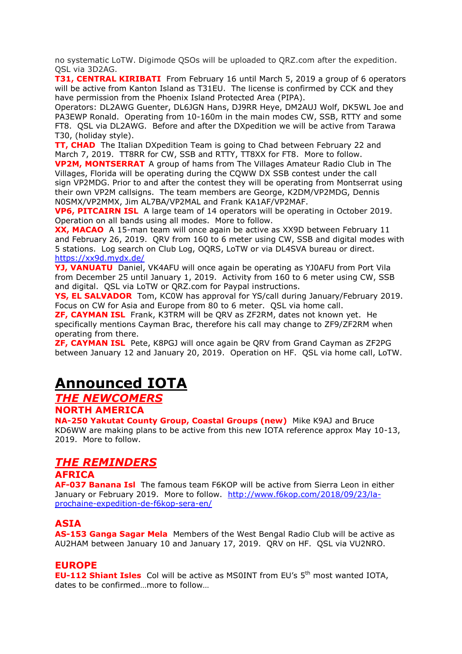no systematic LoTW. Digimode QSOs will be uploaded to QRZ.com after the expedition. QSL via 3D2AG.

**T31, CENTRAL KIRIBATI** From February 16 until March 5, 2019 a group of 6 operators will be active from Kanton Island as T31EU. The license is confirmed by CCK and they have permission from the Phoenix Island Protected Area (PIPA).

Operators: DL2AWG Guenter, DL6JGN Hans, DJ9RR Heye, DM2AUJ Wolf, DK5WL Joe and PA3EWP Ronald. Operating from 10-160m in the main modes CW, SSB, RTTY and some FT8. QSL via DL2AWG. Before and after the DXpedition we will be active from Tarawa T30, (holiday style).

**TT, CHAD** The Italian DXpedition Team is going to Chad between February 22 and March 7, 2019. TT8RR for CW, SSB and RTTY, TT8XX for FT8. More to follow.

**VP2M, MONTSERRAT** A group of hams from The Villages Amateur Radio Club in The Villages, Florida will be operating during the CQWW DX SSB contest under the call sign VP2MDG. Prior to and after the contest they will be operating from Montserrat using their own VP2M callsigns. The team members are George, K2DM/VP2MDG, Dennis N0SMX/VP2MMX, Jim AL7BA/VP2MAL and Frank KA1AF/VP2MAF.

**VP6, PITCAIRN ISL** A large team of 14 operators will be operating in October 2019. Operation on all bands using all modes. More to follow.

**XX, MACAO** A 15-man team will once again be active as XX9D between February 11 and February 26, 2019. QRV from 160 to 6 meter using CW, SSB and digital modes with 5 stations. Log search on Club Log, OQRS, LoTW or via DL4SVA bureau or direct. <https://xx9d.mydx.de/>

**YJ, VANUATU** Daniel, VK4AFU will once again be operating as YJ0AFU from Port Vila from December 25 until January 1, 2019. Activity from 160 to 6 meter using CW, SSB and digital. QSL via LoTW or QRZ.com for Paypal instructions.

**YS, EL SALVADOR** Tom, KC0W has approval for YS/call during January/February 2019. Focus on CW for Asia and Europe from 80 to 6 meter. QSL via home call.

**ZF, CAYMAN ISL** Frank, K3TRM will be QRV as ZF2RM, dates not known yet. He specifically mentions Cayman Brac, therefore his call may change to ZF9/ZF2RM when operating from there.

**ZF, CAYMAN ISL** Pete, K8PGJ will once again be QRV from Grand Cayman as ZF2PG between January 12 and January 20, 2019. Operation on HF. QSL via home call, LoTW.

# **Announced IOTA**

*THE NEWCOMERS*

**NORTH AMERICA**

**NA-250 Yakutat County Group, Coastal Groups (new)** Mike K9AJ and Bruce KD6WW are making plans to be active from this new IOTA reference approx May 10-13, 2019. More to follow.

### *THE REMINDERS*

#### **AFRICA**

**AF-037 Banana Isl** The famous team F6KOP will be active from Sierra Leon in either January or February 2019. More to follow. [http://www.f6kop.com/2018/09/23/la](http://www.f6kop.com/2018/09/23/la-prochaine-expedition-de-f6kop-sera-en/)[prochaine-expedition-de-f6kop-sera-en/](http://www.f6kop.com/2018/09/23/la-prochaine-expedition-de-f6kop-sera-en/)

#### **ASIA**

**AS-153 Ganga Sagar Mela** Members of the West Bengal Radio Club will be active as AU2HAM between January 10 and January 17, 2019. QRV on HF. QSL via VU2NRO.

#### **EUROPE**

**EU-112 Shiant Isles** Col will be active as MS0INT from EU's 5<sup>th</sup> most wanted IOTA, dates to be confirmed …more to follow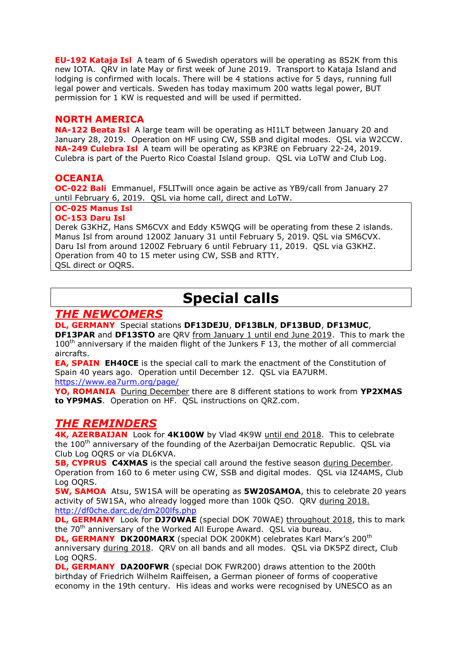**EU-192 Kataja Isl** A team of 6 Swedish operators will be operating as 8S2K from this new IOTA. QRV in late May or first week of June 2019. Transport to Kataja Island and lodging is confirmed with locals. There will be 4 stations active for 5 days, running full legal power and verticals. Sweden has today maximum 200 watts legal power, BUT permission for 1 KW is requested and will be used if permitted.

#### **NORTH AMERICA**

**NA-122 Beata Isl** A large team will be operating as HI1LT between January 20 and January 28, 2019. Operation on HF using CW, SSB and digital modes. QSL via W2CCW. **NA-249 Culebra Isl** A team will be operating as KP3RE on February 22-24, 2019. Culebra is part of the Puerto Rico Coastal Island group. QSL via LoTW and Club Log.

#### **OCEANIA**

**OC-022 Bali** Emmanuel, F5LITwill once again be active as YB9/call from January 27 until February 6, 2019. QSL via home call, direct and LoTW.

#### **OC-025 Manus Isl**

**OC-153 Daru Isl**

Derek G3KHZ, Hans SM6CVX and Eddy K5WQG will be operating from these 2 islands. Manus Isl from around 1200Z January 31 until February 5, 2019. QSL via SM6CVX. Daru Isl from around 1200Z February 6 until February 11, 2019. QSL via G3KHZ. Operation from 40 to 15 meter using CW, SSB and RTTY. QSL direct or OQRS.

## **Special calls**

### *THE NEWCOMERS*

**DL, GERMANY** Special stations **DF13DEJU**, **DF13BLN**, **DF13BUD**, **DF13MUC**, **DF13PAR** and **DF13STO** are QRV from January 1 until end June 2019. This to mark the  $100<sup>th</sup>$  anniversary if the maiden flight of the Junkers F 13, the mother of all commercial aircrafts.

**EA, SPAIN EH40CE** is the special call to mark the enactment of the Constitution of Spain 40 years ago. Operation until December 12. QSL via EA7URM. <https://www.ea7urm.org/page/>

**YO, ROMANIA** During December there are 8 different stations to work from **YP2XMAS to YP9MAS**. Operation on HF. QSL instructions on QRZ.com.

### *THE REMINDERS*

**4K, AZERBAIJAN** Look for **4K100W** by Vlad 4K9W until end 2018. This to celebrate the 100<sup>th</sup> anniversary of the founding of the Azerbaijan Democratic Republic. OSL via Club Log OQRS or via DL6KVA.

**5B, CYPRUS C4XMAS** is the special call around the festive season during December. Operation from 160 to 6 meter using CW, SSB and digital modes. QSL via IZ4AMS, Club Log OQRS.

**5W, SAMOA** Atsu, 5W1SA will be operating as **5W20SAMOA**, this to celebrate 20 years activity of 5W1SA, who already logged more than 100k QSO. QRV during 2018. <http://df0che.darc.de/dm200lfs.php>

**DL, GERMANY** Look for **DJ70WAE** (special DOK 70WAE) throughout 2018, this to mark the 70<sup>th</sup> anniversary of the Worked All Europe Award. QSL via bureau.

**DL, GERMANY DK200MARX** (special DOK 200KM) celebrates Karl Marx's 200<sup>th</sup> anniversary during 2018. QRV on all bands and all modes. QSL via DK5PZ direct, Club Log OQRS.

**DL, GERMANY DA200FWR** (special DOK FWR200) draws attention to the 200th birthday of Friedrich Wilhelm Raiffeisen, a German pioneer of forms of cooperative economy in the 19th century. His ideas and works were recognised by UNESCO as an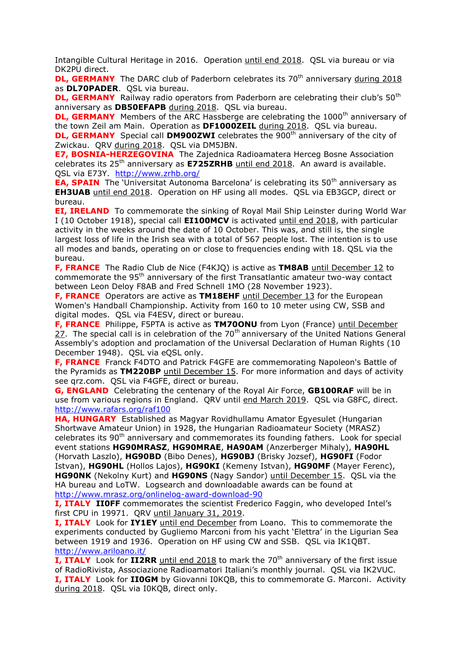Intangible Cultural Heritage in 2016. Operation until end 2018. QSL via bureau or via DK2PU direct.

**DL, GERMANY** The DARC club of Paderborn celebrates its 70<sup>th</sup> anniversary during 2018 as **DL70PADER**. QSL via bureau.

**DL, GERMANY** Railway radio operators from Paderborn are celebrating their club's 50<sup>th</sup> anniversary as **DB50EFAPB** during 2018. QSL via bureau.

**DL, GERMANY** Members of the ARC Hassberge are celebrating the 1000<sup>th</sup> anniversary of the town Zeil am Main. Operation as **DF1000ZEIL** during 2018. QSL via bureau.

**DL, GERMANY** Special call **DM900ZWI** celebrates the 900<sup>th</sup> anniversary of the city of Zwickau. QRV during 2018. QSL via DM5JBN.

**E7, BOSNIA-HERZEGOVINA** The Zajednica Radioamatera Herceg Bosne Association celebrates its 25<sup>th</sup> anniversary as **E725ZRHB** until end 2018. An award is available. OSL via E73Y. <http://www.zrhb.org/>

**EA, SPAIN** The 'Universitat Autonoma Barcelona' is celebrating its 50<sup>th</sup> anniversary as **EH3UAB** until end 2018. Operation on HF using all modes. QSL via EB3GCP, direct or bureau.

**EI, IRELAND** To commemorate the sinking of Royal Mail Ship Leinster during World War I (10 October 1918), special call **EI100MCV** is activated until end 2018, with particular activity in the weeks around the date of 10 October. This was, and still is, the single largest loss of life in the Irish sea with a total of 567 people lost. The intention is to use all modes and bands, operating on or close to frequencies ending with 18. QSL via the bureau.

**F, FRANCE** The Radio Club de Nice (F4KJQ) is active as **TM8AB** until December 12 to commemorate the  $95<sup>th</sup>$  anniversary of the first Transatlantic amateur two-way contact between Leon Deloy F8AB and Fred Schnell 1MO (28 November 1923).

**F, FRANCE** Operators are active as **TM18EHF** until December 13 for the European Women's Handball Championship. Activity from 160 to 10 meter using CW, SSB and digital modes. QSL via F4ESV, direct or bureau.

**F, FRANCE** Philippe, F5PTA is active as **TM70ONU** from Lyon (France) until December 27. The special call is in celebration of the  $70<sup>th</sup>$  anniversary of the United Nations General Assembly's adoption and proclamation of the Universal Declaration of Human Rights (10 December 1948). QSL via eQSL only.

**F, FRANCE** Franck F4DTO and Patrick F4GFE are commemorating Napoleon's Battle of the Pyramids as **TM220BP** until December 15. For more information and days of activity see qrz.com. QSL via F4GFE, direct or bureau.

**G, ENGLAND** Celebrating the centenary of the Royal Air Force, **GB100RAF** will be in use from various regions in England. QRV until end March 2019. QSL via G8FC, direct. <http://www.rafars.org/raf100>

**HA, HUNGARY** Established as Magyar Rovidhullamu Amator Egyesulet (Hungarian Shortwave Amateur Union) in 1928, the Hungarian Radioamateur Society (MRASZ) celebrates its 90<sup>th</sup> anniversary and commemorates its founding fathers. Look for special event stations **HG90MRASZ**, **HG90MRAE**, **HA90AM** (Anzerberger Mihaly), **HA90HL**  (Horvath Laszlo), **HG90BD** (Bibo Denes), **HG90BJ** (Brisky Jozsef), **HG90FI** (Fodor Istvan), **HG90HL** (Hollos Lajos), **HG90KI** (Kemeny Istvan), **HG90MF** (Mayer Ferenc), **HG90NK** (Nekolny Kurt) and **HG90NS** (Nagy Sandor) until December 15. QSL via the HA bureau and LoTW. Logsearch and downloadable awards can be found at <http://www.mrasz.org/onlinelog-award-download-90>

**I, ITALY IIOFF** commemorates the scientist Frederico Faggin, who developed Intel's first CPU in 19971. QRV until January 31, 2019.

**I, ITALY** Look for **IY1EY** until end December from Loano. This to commemorate the experiments conducted by Gugliemo Marconi from his yacht 'Elettra' in the Ligurian Sea between 1919 and 1936. Operation on HF using CW and SSB. QSL via IK1QBT. <http://www.ariloano.it/>

**I, ITALY** Look for **II2RR** until end 2018 to mark the 70<sup>th</sup> anniversary of the first issue of RadioRivista, Associazione Radioamatori Italiani's monthly journal. QSL via IK2VUC. **I, ITALY** Look for **II0GM** by Giovanni I0KQB, this to commemorate G. Marconi. Activity during 2018. QSL via I0KQB, direct only.